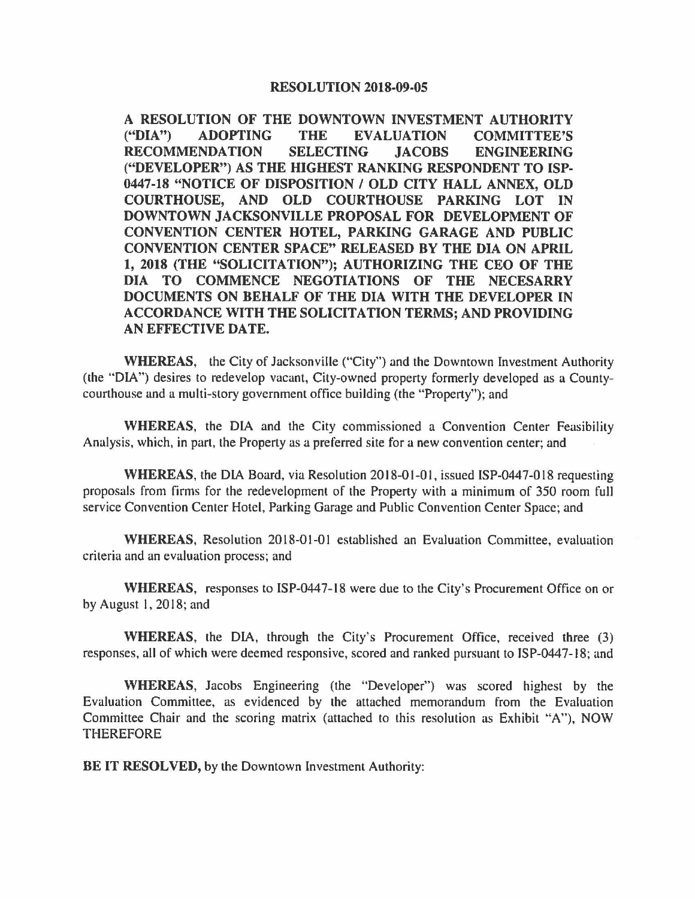## **RESOLUTION 2018-09-05**

**A RESOLUTION OF THE DOWNTOWN INVESTMENT AUTHORITY ("DIA") ADOPTING THE EVALUATION COMMITTEE'S RECOMMENDATION SELECTING JACOBS ENGINEERING ("DEVELOPER") AS THE HIGHEST RANKING RESPONDENT TO ISP-0447-18 "NOTICE OF DISPOSITION** / **OLD CITY HALL ANNEX, OLD COURTHOUSE, AND OLD COURTHOUSE PARKING LOT IN DOWNTOWN JACKSONVILLE PROPOSAL FOR DEVELOPMENT** OF **CONVENTION CENTER HOTEL, PARKING GARAGE AND PUBLIC CONVENTION CENTER SPACE" RELEASED BY THE DIA ON APRIL 1, 2018 (THE "SOLICITATION"); AUTHORIZING THE CEO OF THE DIA TO COMMENCE NEGOTIATIONS OF THE NECESARRY DOCUMENTS ON BEHALF OF THE DIA WITH THE DEVELOPER IN ACCORDANCE WITH THE SOLICITATION TERMS; AND PROVIDING AN EFFECTIVE DATE.** 

**WHEREAS,** the City of Jacksonville ("City") and the Downtown Investment Authority (the "DIA") desires to redevelop vacant, City-owned property formerly developed as a Countycourthouse and a multi-story government office building (the "Property"); and

**WHEREAS,** the DIA and the City commissioned a Convention Center Feasibility Analysis, which, in part, the Property as a preferred site for a new convention center; and

**WHEREAS,** the DIA Board, via Resolution 2018-01-0 I, issued ISP-0447-018 requesting proposals from firms for the redevelopment of the Property with a minimum of 350 room full service Convention Center Hotel, Parking Garage and Public Convention Center Space; and

WHEREAS, Resolution 2018-01-01 established an Evaluation Committee, evaluation criteria and an evaluation process; and

**WHEREAS,** responses to ISP-0447-18 were due to the City's Procurement Office on or by August I, 2018; and

**WHEREAS,** the DIA, through the City's Procurement Office, received three (3) responses, all of which were deemed responsive, scored and ranked pursuant to ISP-0447-18; and

**WHEREAS,** Jacobs Engineering (the "Developer") was scored highest by the Evaluation Committee, as evidenced by the attached memorandum from the Evaluation Committee Chair and the scoring matrix (attached to this resolution as Exhibit "A"), NOW THEREFORE

**BE IT RESOLVED, by the Downtown Investment Authority:**